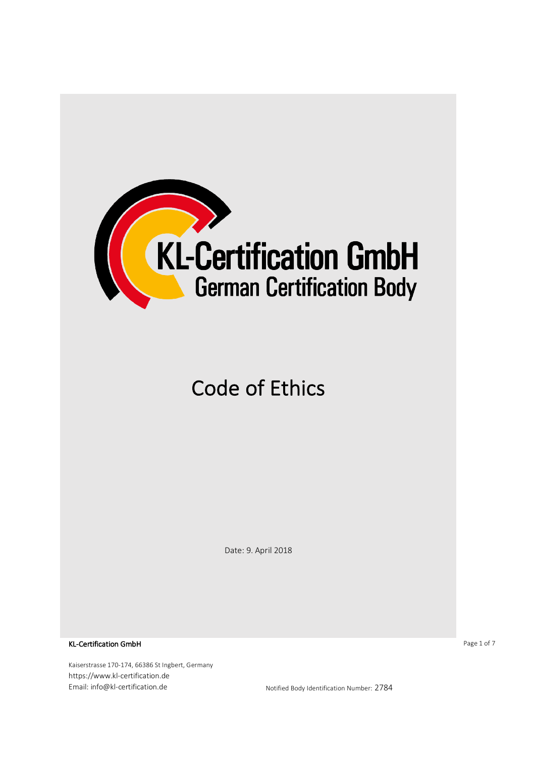

# Code of Ethics

Date: 9. April 2018

KL-Certification GmbH

Kaiserstrasse 170-174, 66386 St Ingbert, Germany https://www.kl-certification.de Email: info@kl-certification.de **Notified Body Identification Number: 2784** 

Page 1 of 7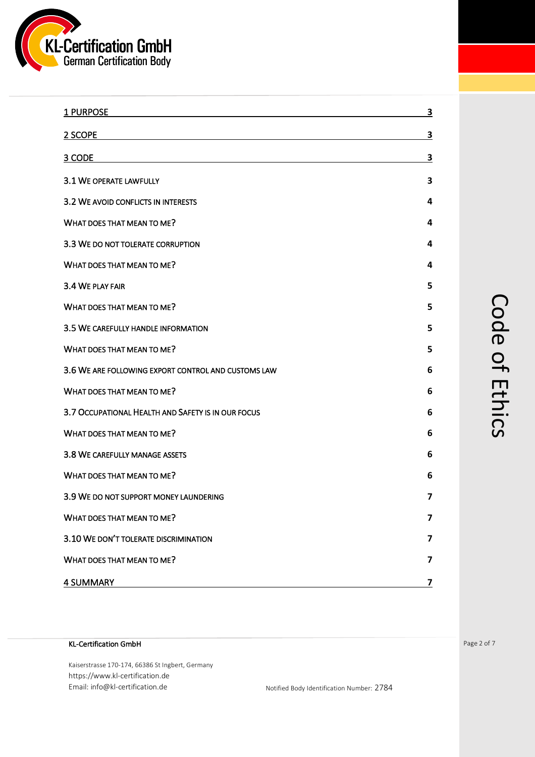

| 1 PURPOSE                                           | <u>3</u>                |
|-----------------------------------------------------|-------------------------|
| 2 SCOPE                                             | $\overline{\mathbf{3}}$ |
| 3 CODE                                              | 3                       |
| 3.1 WE OPERATE LAWFULLY                             | 3                       |
| 3.2 WE AVOID CONFLICTS IN INTERESTS                 | 4                       |
| WHAT DOES THAT MEAN TO ME?                          | 4                       |
| 3.3 WE DO NOT TOLERATE CORRUPTION                   | 4                       |
| WHAT DOES THAT MEAN TO ME?                          | 4                       |
| 3.4 WE PLAY FAIR                                    | 5                       |
| WHAT DOES THAT MEAN TO ME?                          | 5                       |
| 3.5 WE CAREFULLY HANDLE INFORMATION                 | 5                       |
| WHAT DOES THAT MEAN TO ME?                          | 5                       |
| 3.6 WE ARE FOLLOWING EXPORT CONTROL AND CUSTOMS LAW | 6                       |
| WHAT DOES THAT MEAN TO ME?                          | 6                       |
| 3.7 OCCUPATIONAL HEALTH AND SAFETY IS IN OUR FOCUS  | 6                       |
| WHAT DOES THAT MEAN TO ME?                          | 6                       |
| 3.8 WE CAREFULLY MANAGE ASSETS                      | 6                       |
| WHAT DOES THAT MEAN TO ME?                          | 6                       |
| 3.9 WE DO NOT SUPPORT MONEY LAUNDERING              | 7                       |
| WHAT DOES THAT MEAN TO ME?                          | $\overline{\mathbf{z}}$ |
| 3.10 WE DON'T TOLERATE DISCRIMINATION               | $\overline{\mathbf{z}}$ |
| WHAT DOES THAT MEAN TO ME?                          | 7                       |
| <b>4 SUMMARY</b>                                    | 7                       |

#### KL-Certification GmbH

Kaiserstrasse 170-174, 66386 St Ingbert, Germany https://www.kl-certification.de Email: info@kl-certification.de Notified Body Identification Number: 2784 Page 2 of 7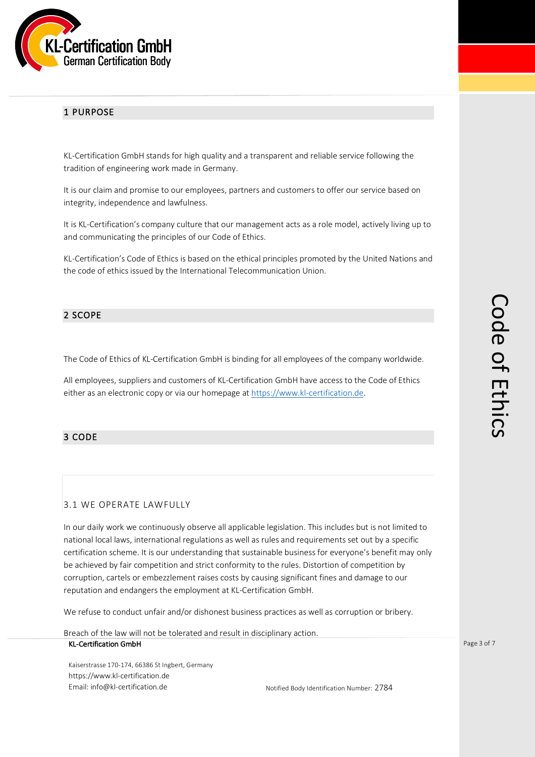

#### 1 PURPOSE

KL-Certification GmbH stands for high quality and a transparent and reliable service following the tradition of engineering work made in Germany.

It is our claim and promise to our employees, partners and customers to offer our service based on integrity, independence and lawfulness.

It is KL-Certification's company culture that our management acts as a role model, actively living up to and communicating the principles of our Code of Ethics.

KL-Certification's Code of Ethics is based on the ethical principles promoted by the United Nations and the code of ethics issued by the International Telecommunication Union.

#### 2 SCOPE

The Code of Ethics of KL-Certification GmbH is binding for all employees of the company worldwide.

All employees, suppliers and customers of KL-Certification GmbH have access to the Code of Ethics either as an electronic copy or via our homepage at https://www.kl-certification.de.

#### 3 CODE

#### 3.1 WE OPERATE LAWFULLY

In our daily work we continuously observe all applicable legislation. This includes but is not limited to national local laws, international regulations as well as rules and requirements set out by a specific certification scheme. It is our understanding that sustainable business for everyone's benefit may only be achieved by fair competition and strict conformity to the rules. Distortion of competition by corruption, cartels or embezzlement raises costs by causing significant fines and damage to our reputation and endangers the employment at KL-Certification GmbH.

We refuse to conduct unfair and/or dishonest business practices as well as corruption or bribery.

KL-Certification GmbH Breach of the law will not be tolerated and result in disciplinary action.

Kaiserstrasse 170-174, 66386 St Ingbert, Germany https://www.kl-certification.de Email: info@kl-certification.de Notified Body Identification Number: 2784 Page 3 of 7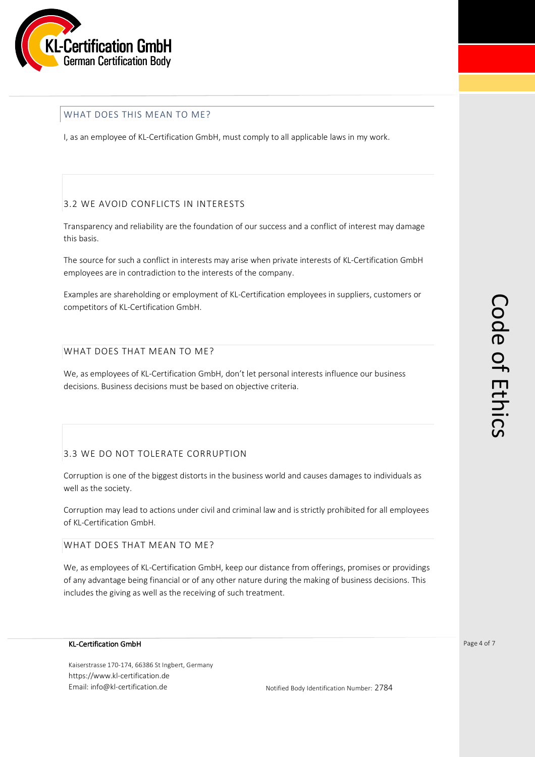

#### WHAT DOES THIS MEAN TO ME?

I, as an employee of KL-Certification GmbH, must comply to all applicable laws in my work.

#### 3.2 WE AVOID CONFLICTS IN INTERESTS

Transparency and reliability are the foundation of our success and a conflict of interest may damage this basis.

The source for such a conflict in interests may arise when private interests of KL-Certification GmbH employees are in contradiction to the interests of the company.

Examples are shareholding or employment of KL-Certification employees in suppliers, customers or competitors of KL-Certification GmbH.

#### WHAT DOES THAT MEAN TO ME?

We, as employees of KL-Certification GmbH, don't let personal interests influence our business decisions. Business decisions must be based on objective criteria.

# 3.3 WE DO NOT TOLERATE CORRUPTION

Corruption is one of the biggest distorts in the business world and causes damages to individuals as well as the society.

Corruption may lead to actions under civil and criminal law and is strictly prohibited for all employees of KL-Certification GmbH.

WHAT DOES THAT MEAN TO ME?

We, as employees of KL-Certification GmbH, keep our distance from offerings, promises or providings of any advantage being financial or of any other nature during the making of business decisions. This includes the giving as well as the receiving of such treatment.

#### KL-Certification GmbH

Kaiserstrasse 170-174, 66386 St Ingbert, Germany https://www.kl-certification.de Email: info@kl-certification.de Notified Body Identification Number: 2784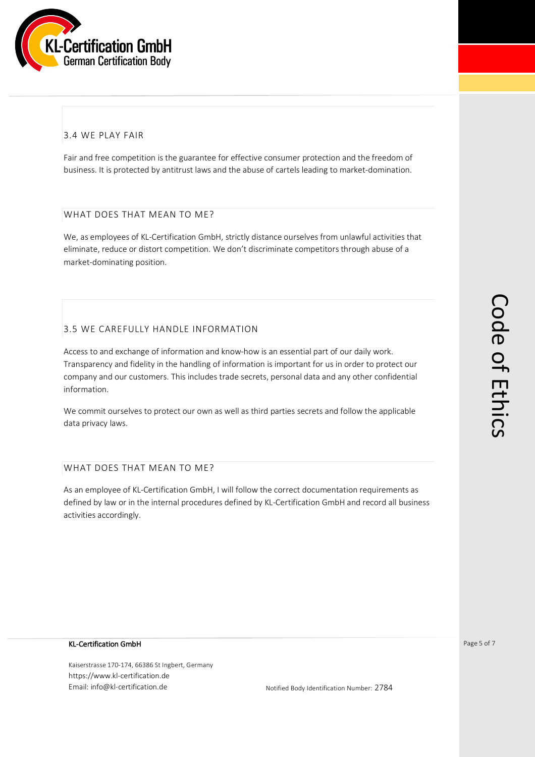

# 3.4 WE PLAY FAIR

Fair and free competition is the guarantee for effective consumer protection and the freedom of business. It is protected by antitrust laws and the abuse of cartels leading to market-domination.

#### WHAT DOES THAT MEAN TO ME?

We, as employees of KL-Certification GmbH, strictly distance ourselves from unlawful activities that eliminate, reduce or distort competition. We don't discriminate competitors through abuse of a market-dominating position.

## 3.5 WE CAREFULLY HANDLE INFORMATION

Access to and exchange of information and know-how is an essential part of our daily work. Transparency and fidelity in the handling of information is important for us in order to protect our company and our customers. This includes trade secrets, personal data and any other confidential information.

We commit ourselves to protect our own as well as third parties secrets and follow the applicable data privacy laws.

#### WHAT DOES THAT MEAN TO ME?

As an employee of KL-Certification GmbH, I will follow the correct documentation requirements as defined by law or in the internal procedures defined by KL-Certification GmbH and record all business activities accordingly.

#### KL-Certification GmbH

Kaiserstrasse 170-174, 66386 St Ingbert, Germany https://www.kl-certification.de Email: info@kl-certification.de **Notified Body Identification Number: 2784**  Page 5 of 7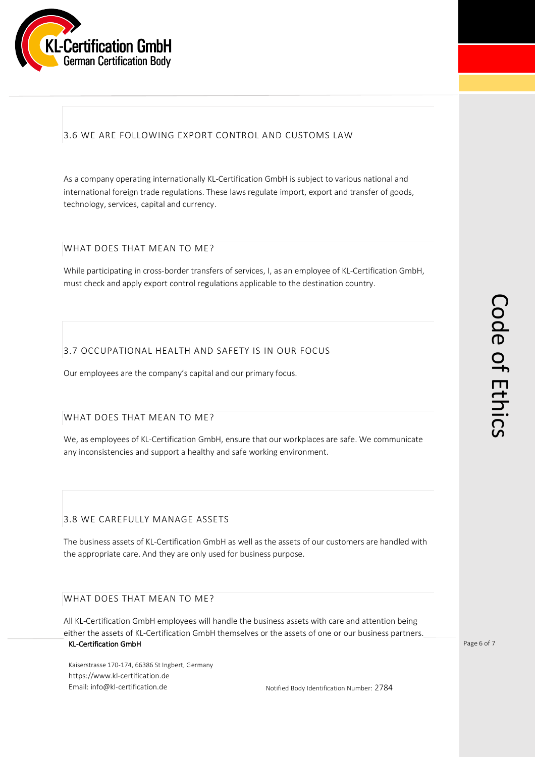

# 3.6 WE ARE FOLLOWING EXPORT CONTROL AND CUSTOMS LAW

As a company operating internationally KL-Certification GmbH is subject to various national and international foreign trade regulations. These laws regulate import, export and transfer of goods, technology, services, capital and currency.

#### WHAT DOES THAT MEAN TO ME?

While participating in cross-border transfers of services, I, as an employee of KL-Certification GmbH, must check and apply export control regulations applicable to the destination country.

## 3.7 OCCUPATIONAL HEALTH AND SAFETY IS IN OUR FOCUS

Our employees are the company's capital and our primary focus.

#### WHAT DOES THAT MEAN TO ME?

We, as employees of KL-Certification GmbH, ensure that our workplaces are safe. We communicate any inconsistencies and support a healthy and safe working environment.

#### 3.8 WE CAREFULLY MANAGE ASSETS

The business assets of KL-Certification GmbH as well as the assets of our customers are handled with the appropriate care. And they are only used for business purpose.

#### WHAT DOES THAT MEAN TO ME?

KL-Certification GmbH All KL-Certification GmbH employees will handle the business assets with care and attention being either the assets of KL-Certification GmbH themselves or the assets of one or our business partners.

Kaiserstrasse 170-174, 66386 St Ingbert, Germany https://www.kl-certification.de Email: info@kl-certification.de Notified Body Identification Number: 2784 Page 6 of 7